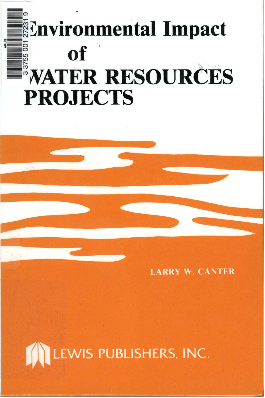# **Environmental Impact of WATER RESOURCES PROJECTS**

**LARRY W. CANTER** 

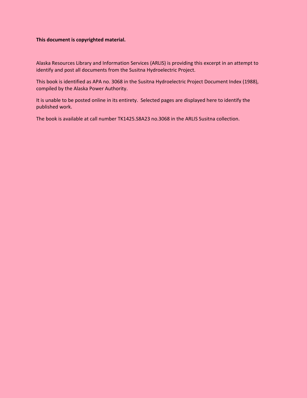# **This document is copyrighted material.**

Alaska Resources Library and Information Services (ARLIS) is providing this excerpt in an attempt to identify and post all documents from the Susitna Hydroelectric Project.

This book is identified as APA no. 3068 in the Susitna Hydroelectric Project Document Index (1988), compiled by the Alaska Power Authority.

It is unable to be posted online in its entirety. Selected pages are displayed here to identify the published work.

The book is available at call number TK1425.S8A23 no.3068 in the ARLIS Susitna collection.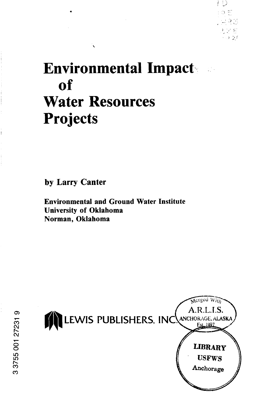

# **Environmental Impacts** of **Water Resources Projects**

by Larry Canter

**Environmental and Ground Water Institute University of Oklahoma** Norman, Oklahoma

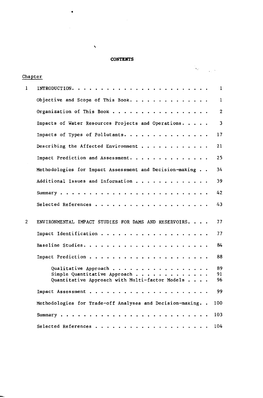#### **CONTENTS**

 $\bar{\mathbf{v}}$ 

•

| Chapter        |                                                                                                                                                                 | Ne. |  |                |
|----------------|-----------------------------------------------------------------------------------------------------------------------------------------------------------------|-----|--|----------------|
|                |                                                                                                                                                                 |     |  |                |
| 1              | INTRODUCTION. .                                                                                                                                                 |     |  | 1              |
|                | Objective and Scope of This Book.                                                                                                                               |     |  | $\mathbf{1}$   |
|                | Organization of This Book<br>$\sim$ $\sim$                                                                                                                      |     |  | $\overline{2}$ |
|                | Impacts of Water Resources Projects and Operations.                                                                                                             |     |  | 3              |
|                | Impacts of Types of Pollutants.                                                                                                                                 |     |  | 17             |
|                | Describing the Affected Environment $\cdots$                                                                                                                    |     |  | 21             |
|                | Impact Prediction and Assessment.                                                                                                                               |     |  | 25             |
|                | Methodologies for Impact Assessment and Decision-making                                                                                                         |     |  | 34             |
|                | Additional Issues and Information                                                                                                                               |     |  | 39             |
|                | Summary.<br>$\sim$ $\sim$ $\sim$ $\sim$<br>$\ddot{\phantom{1}}$<br>$\ddot{\phantom{1}}$                                                                         |     |  | 42             |
|                | Selected References.                                                                                                                                            |     |  | 43             |
| $\overline{2}$ | ENVIRONMENTAL IMPACT STUDIES FOR DAMS AND RESERVOIRS.                                                                                                           |     |  | 77             |
|                | Impact Identification                                                                                                                                           |     |  | 77             |
|                | Baseline Studies.<br>$\ddot{\phantom{1}}$<br>$\sim$ $\sim$ $\sim$ $\sim$<br>$\cdot$<br>$\cdot$<br>$\ddot{\phantom{1}}$<br>$\sim$ $\sim$<br>$\ddot{\phantom{a}}$ |     |  | 84             |
|                | Impact Prediction.<br>$\ddot{\phantom{a}}$<br>$\ddot{\phantom{a}}$                                                                                              |     |  | 88             |
|                | Qualitative Approach                                                                                                                                            |     |  | 89             |
|                | Simple Quantitative Approach.                                                                                                                                   |     |  | 91             |
|                | Quantitative Approach with Multi-factor Models.                                                                                                                 |     |  | 96             |
|                | Impact Assessment                                                                                                                                               |     |  | 99             |
|                | Methodologies for Trade-off Analyses and Decision-making                                                                                                        |     |  | 100            |
|                | Summary.                                                                                                                                                        |     |  | 103            |
|                | Selected References.                                                                                                                                            |     |  | 104            |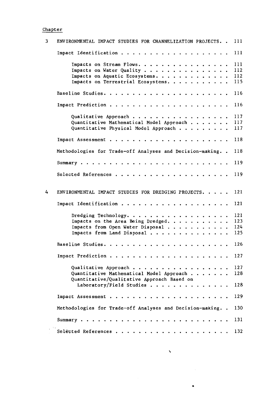#### Chapt er

| 3 | ENVIRONMENTAL IMPACT STUDIES FOR CHANNELIZATION PROJECTS    | 111 |
|---|-------------------------------------------------------------|-----|
|   | Impact Identification                                       | 111 |
|   | Impacts on Stream Flows.<br>$\bullet$                       | 111 |
|   |                                                             |     |
|   | Impacts on Water Quality<br>$\bullet$ . $\bullet$ .         | 112 |
|   | Impacts on Aquatic Ecosystems.                              | 112 |
|   | Impacts on Terrestrial Ecosystems                           | 115 |
|   | Baseline Studies. .                                         | 116 |
|   | Impact Prediction                                           | 116 |
|   | Qualitative Approach                                        | 117 |
|   |                                                             | 117 |
|   | Quantitative Mathematical Model Approach                    |     |
|   | Quantitative Physical Model Approach                        | 117 |
|   | Impact Assessment<br>$\ddot{\phantom{a}}$                   | 118 |
|   | Methodologies for Trade-off Analyses and Decision-making    | 118 |
|   |                                                             |     |
|   | Summary $\cdots$<br>$\sim$ $\sim$ $\sim$                    | 119 |
|   | Selected References                                         | 119 |
| 4 | ENVIRONMENTAL IMPACT STUDIES FOR DREDGING PROJECTS. .       | 121 |
|   | Impact Identification                                       | 121 |
|   | Dredging Technology.                                        | 121 |
|   | Impacts on the Area Being Dredged.<br>$\bullet$             | 123 |
|   | Impacts from Open Water Disposal                            | 124 |
|   |                                                             |     |
|   | Impacts from Land Disposal<br>$\bullet$ . $\bullet$         | 125 |
|   | Baseline Studies                                            | 126 |
|   | Impact Prediction<br>$\bullet$ . $\bullet$ . $\bullet$      | 127 |
|   | Qualitative Approach                                        | 127 |
|   |                                                             |     |
|   | Quantitative Mathematical Model Approach                    | 128 |
|   | Quantitative/Qualitative Approach Based on                  |     |
|   | Laboratory/Field Studies                                    | 128 |
|   | Impact Assessment                                           | 129 |
|   | Methodologies for Trade-off Analyses and Decision-making. . | 130 |
|   | $Summarv$                                                   | 131 |
|   | Selected References                                         | 132 |

'

•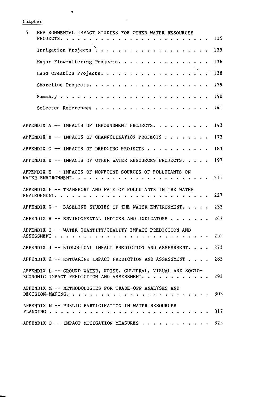Chapter

 $\ddot{\phantom{0}}$ 

| 5<br>ENVIRONMENTAL IMPACT STUDIES FOR OTHER WATER RESOURCES<br>PROJECTS.                                       | 135 |
|----------------------------------------------------------------------------------------------------------------|-----|
| Irrigation Projects                                                                                            | 135 |
| Major Flow-altering Projects                                                                                   | 136 |
| Land Creation Projects.                                                                                        | 138 |
| Shoreline Projects. $\cdots$ .                                                                                 | 139 |
| Summary $\ldots$                                                                                               | 140 |
| Selected References.                                                                                           | 141 |
| APPENDIX A -- IMPACTS OF IMPOUNDMENT PROJECTS. .                                                               | 143 |
| APPENDIX B $-$ IMPACTS OF CHANNELIZATION PROJECTS $\cdot$ $\cdot$ $\cdot$ $\cdot$                              | 173 |
| APPENDIX C $-$ impacts of DREDGING PROJECTS $\cdot$                                                            | 183 |
| APPENDIX D $-$ impacts of other water resources projects.                                                      | 197 |
| APPENDIX E -- IMPACTS OF NONPOINT SOURCES OF POLLUTANTS ON<br>WATER ENVIRONMENT.                               | 211 |
| APPENDIX F -- TRANSPORT AND FATE OF POLLUTANTS IN THE WATER<br>ENVIRONMENT                                     | 227 |
| APPENDIX G -- BASELINE STUDIES OF THE WATER ENVIRONMENT.                                                       | 233 |
| APPENDIX H -- ENVIRONMENTAL INDICES AND INDICATORS.                                                            | 247 |
| APPENDIX I -- WATER QUANTITY/QUALITY IMPACT PREDICTION AND<br>ASSESSMENT.                                      | 255 |
| APPENDIX J -- BIOLOGICAL IMPACT PREDICTION AND ASSESSMENT.                                                     | 273 |
| APPENDIX K -- ESTUARINE IMPACT PREDICTION AND ASSESSMENT.                                                      | 285 |
| APPENDIX L -- GROUND WATER, NOISE, CULTURAL, VISUAL AND SOCIO-<br>ECONOMIC IMPACT PREDICTION AND ASSESSMENT. . | 293 |
| APPENDIX M -- METHODOLOGIES FOR TRADE-OFF ANALYSES AND<br>DECISION-MAKING. .                                   | 303 |
| APPENDIX N -- PUBLIC PARTICIPATION IN WATER RESOURCES<br>PLANNING.                                             | 317 |
| APPENDIX O -- IMPACT MITIGATION MEASURES.                                                                      | 325 |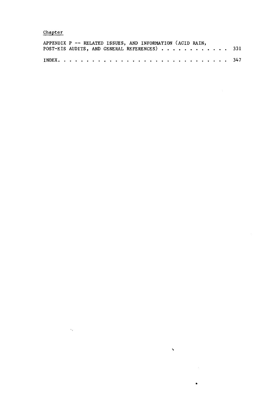## Chapter

 $\langle \cdot \rangle_{\chi}$ 

|  | APPENDIX P -- RELATED ISSUES, AND INFORMATION (ACID RAIN, |  |  |  |  |
|--|-----------------------------------------------------------|--|--|--|--|
|  | POST-EIS AUDITS, AND GENERAL REFERENCES) 331              |  |  |  |  |
|  |                                                           |  |  |  |  |

 $\ddot{\phantom{0}}$ 

 $\bullet$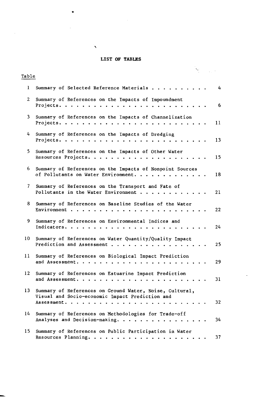#### **LIST OF TABLES**

Q.

•

**`** 

| Table           |                                                                                                                                                                                                              |  |                   |
|-----------------|--------------------------------------------------------------------------------------------------------------------------------------------------------------------------------------------------------------|--|-------------------|
| $\mathbf{I}$    | Summary of Selected Reference Materials                                                                                                                                                                      |  | 4                 |
| $\overline{2}$  | Summary of References on the Impacts of Impoundment<br>Projects. $\cdots$ .                                                                                                                                  |  | 6                 |
| $\overline{3}$  | Summary of References on the Impacts of Channelization<br>Projects.                                                                                                                                          |  | 11                |
| 4               | Summary of References on the Impacts of Dredging<br>Projects.                                                                                                                                                |  | 13                |
| 5.              | Summary of References on the Impacts of Other Water<br>Resources Projects.                                                                                                                                   |  | 15                |
| 6.              | Summary of References on the Impacts of Nonpoint Sources<br>of Pollutants on Water Environment.                                                                                                              |  | 18                |
| 7               | Summary of References on the Transport and Fate of<br>Pollutants in the Water Environment $\cdots$ ,                                                                                                         |  | 21                |
| 8               | Summary of References on Baseline Studies of the Water<br>Environment<br>$\begin{array}{cccccccccccccc} \bullet & \bullet & \bullet & \bullet & \bullet & \bullet & \bullet & \bullet & \bullet \end{array}$ |  | $22 \overline{ }$ |
| 9               | Summary of References on Environmental Indices and<br>Indicators                                                                                                                                             |  | 24                |
| 10              | Summary of References on Water Quantity/Quality Impact<br>Prediction and Assessment                                                                                                                          |  | 25                |
| 11              | Summary of References on Biological Impact Prediction<br>and Assessment.                                                                                                                                     |  | 29                |
| 12 <sup>2</sup> | Summary of References on Estuarine Impact Prediction<br>and Assessment. .                                                                                                                                    |  | 31                |
| 13              | Summary of References on Ground Water, Noise, Cultural,<br>Visual and Socio-economic Impact Prediction and<br>Assessment.<br>$\cdots$                                                                        |  | 32                |
| 14              | Summary of References on Methodologies for Trade-off<br>Analyses and Decision-making.                                                                                                                        |  | 34                |
| 15              | Summary of References on Public Participation in Water                                                                                                                                                       |  | 37                |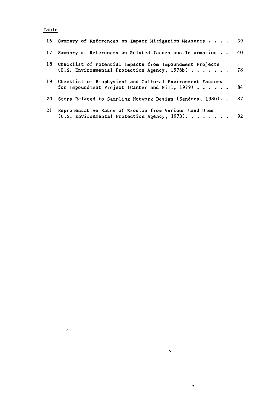# **Table**

 $\label{eq:2} \mathcal{L}^{(1)}(\mathcal{E}_{\mathcal{E}}) = \mathcal{L}^{(1)}(\mathcal{E}_{\mathcal{E}}) \otimes \mathcal{L}^{(2)}(\mathcal{E}_{\mathcal{E}})$ 

| 16 | Summary of References on Impact Mitigation Measures                                                          | 39 |
|----|--------------------------------------------------------------------------------------------------------------|----|
| 17 | Summary of References on Related Issues and Information                                                      | 40 |
| 18 | Checklist of Potential Impacts from Impoundment Projects<br>$(U.S.$ Environmental Protection Agency, 1976b)  | 78 |
| 19 | Checklist of Biophysical and Cultural Environment Factors<br>for Impoundment Project (Canter and Hill, 1979) | 84 |
| 20 | Steps Related to Sampling Network Design (Sanders, 1980)                                                     | 87 |
| 21 | Representative Rates of Erosion from Various Land Uses<br>(U.S. Environmental Protection Agency, 1973).      | 92 |

 $\sum_{\substack{ \alpha \in \mathbb{Z}^d \\ \alpha \in \mathbb{Z}^d}} \sum_{\substack{ \alpha \in \mathbb{Z}^d \\ \alpha \in \mathbb{Z}^d}} \frac{1}{\alpha} \sum_{\substack{ \alpha \in \mathbb{Z}^d \\ \alpha \in \mathbb{Z}^d}} \frac{1}{\alpha} \sum_{\substack{ \alpha \in \mathbb{Z}^d \\ \alpha \in \mathbb{Z}^d}} \frac{1}{\alpha} \sum_{\substack{ \alpha \in \mathbb{Z}^d \\ \alpha \in \mathbb{Z}^d}} \frac{1}{\alpha} \sum_{\substack{ \alpha \in \mathbb{Z}^d \\ \alpha \$ 

•